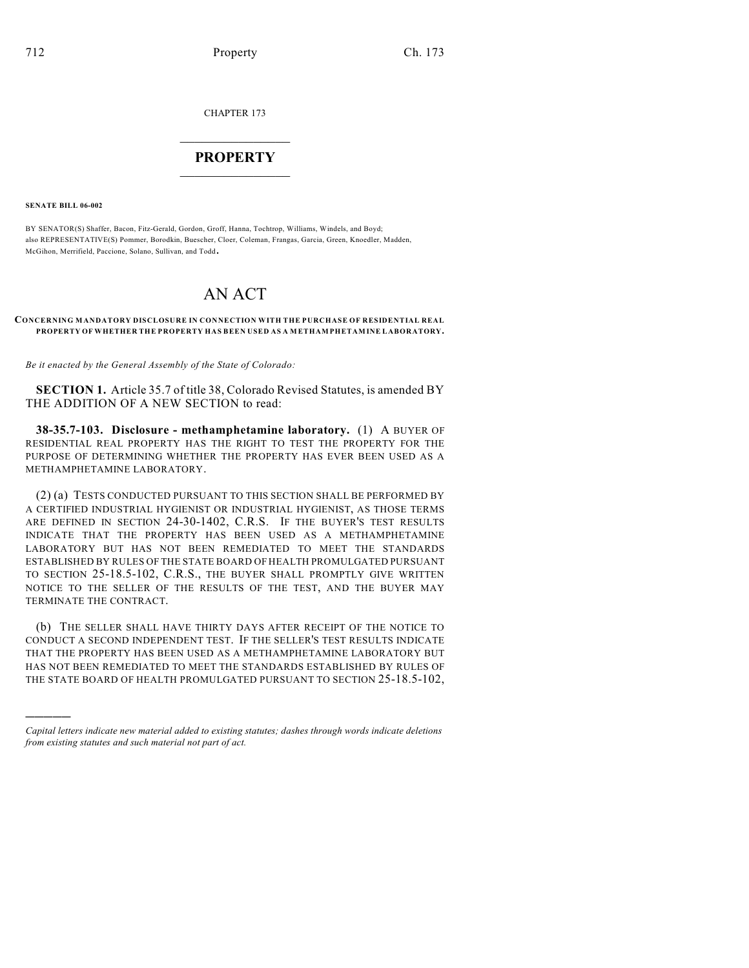CHAPTER 173

## $\overline{\phantom{a}}$  . The set of the set of the set of the set of the set of the set of the set of the set of the set of the set of the set of the set of the set of the set of the set of the set of the set of the set of the set o **PROPERTY**  $\_$   $\_$   $\_$   $\_$   $\_$   $\_$   $\_$   $\_$   $\_$

**SENATE BILL 06-002**

)))))

BY SENATOR(S) Shaffer, Bacon, Fitz-Gerald, Gordon, Groff, Hanna, Tochtrop, Williams, Windels, and Boyd; also REPRESENTATIVE(S) Pommer, Borodkin, Buescher, Cloer, Coleman, Frangas, Garcia, Green, Knoedler, Madden, McGihon, Merrifield, Paccione, Solano, Sullivan, and Todd.

# AN ACT

#### **CONCERNING MANDATORY DISCLOSURE IN CONNECTION WITH THE PURCHASE OF RESIDENTIAL REAL PROPERTY OF WHETHER THE PROPERTY HAS BEEN USED AS A METHAMPHETAMINE LABORATORY.**

*Be it enacted by the General Assembly of the State of Colorado:*

**SECTION 1.** Article 35.7 of title 38, Colorado Revised Statutes, is amended BY THE ADDITION OF A NEW SECTION to read:

**38-35.7-103. Disclosure - methamphetamine laboratory.** (1) A BUYER OF RESIDENTIAL REAL PROPERTY HAS THE RIGHT TO TEST THE PROPERTY FOR THE PURPOSE OF DETERMINING WHETHER THE PROPERTY HAS EVER BEEN USED AS A METHAMPHETAMINE LABORATORY.

(2) (a) TESTS CONDUCTED PURSUANT TO THIS SECTION SHALL BE PERFORMED BY A CERTIFIED INDUSTRIAL HYGIENIST OR INDUSTRIAL HYGIENIST, AS THOSE TERMS ARE DEFINED IN SECTION 24-30-1402, C.R.S. IF THE BUYER'S TEST RESULTS INDICATE THAT THE PROPERTY HAS BEEN USED AS A METHAMPHETAMINE LABORATORY BUT HAS NOT BEEN REMEDIATED TO MEET THE STANDARDS ESTABLISHED BY RULES OF THE STATE BOARD OF HEALTH PROMULGATED PURSUANT TO SECTION 25-18.5-102, C.R.S., THE BUYER SHALL PROMPTLY GIVE WRITTEN NOTICE TO THE SELLER OF THE RESULTS OF THE TEST, AND THE BUYER MAY TERMINATE THE CONTRACT.

(b) THE SELLER SHALL HAVE THIRTY DAYS AFTER RECEIPT OF THE NOTICE TO CONDUCT A SECOND INDEPENDENT TEST. IF THE SELLER'S TEST RESULTS INDICATE THAT THE PROPERTY HAS BEEN USED AS A METHAMPHETAMINE LABORATORY BUT HAS NOT BEEN REMEDIATED TO MEET THE STANDARDS ESTABLISHED BY RULES OF THE STATE BOARD OF HEALTH PROMULGATED PURSUANT TO SECTION 25-18.5-102,

*Capital letters indicate new material added to existing statutes; dashes through words indicate deletions from existing statutes and such material not part of act.*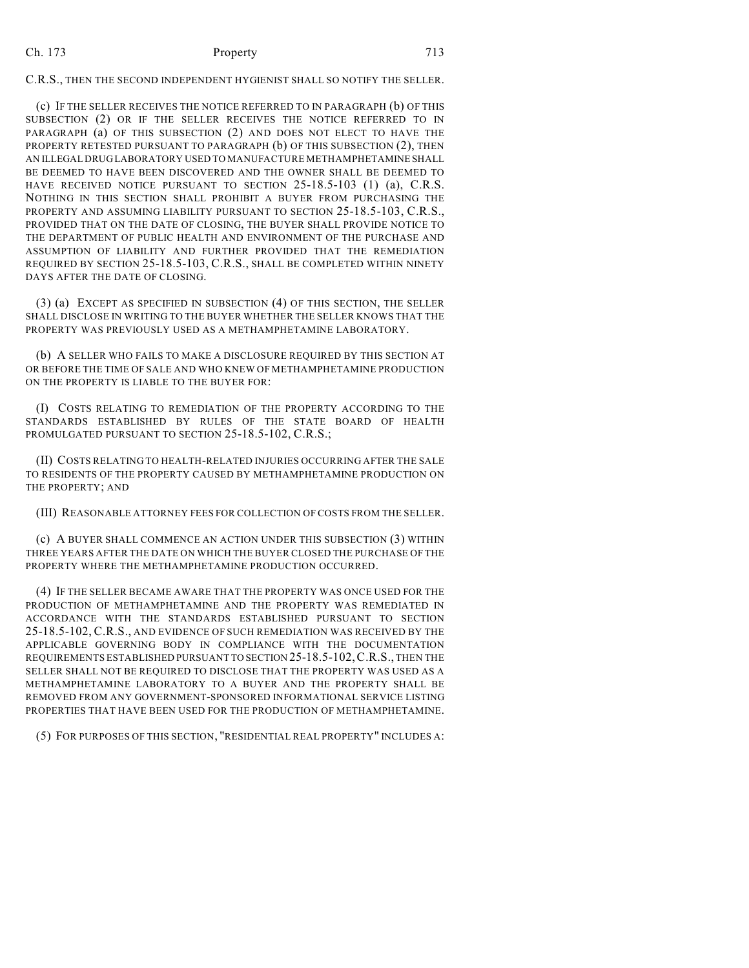## Ch. 173 Property 713

C.R.S., THEN THE SECOND INDEPENDENT HYGIENIST SHALL SO NOTIFY THE SELLER.

(c) IF THE SELLER RECEIVES THE NOTICE REFERRED TO IN PARAGRAPH (b) OF THIS SUBSECTION (2) OR IF THE SELLER RECEIVES THE NOTICE REFERRED TO IN PARAGRAPH (a) OF THIS SUBSECTION (2) AND DOES NOT ELECT TO HAVE THE PROPERTY RETESTED PURSUANT TO PARAGRAPH (b) OF THIS SUBSECTION (2), THEN AN ILLEGAL DRUG LABORATORY USED TO MANUFACTURE METHAMPHETAMINE SHALL BE DEEMED TO HAVE BEEN DISCOVERED AND THE OWNER SHALL BE DEEMED TO HAVE RECEIVED NOTICE PURSUANT TO SECTION 25-18.5-103 (1) (a), C.R.S. NOTHING IN THIS SECTION SHALL PROHIBIT A BUYER FROM PURCHASING THE PROPERTY AND ASSUMING LIABILITY PURSUANT TO SECTION 25-18.5-103, C.R.S., PROVIDED THAT ON THE DATE OF CLOSING, THE BUYER SHALL PROVIDE NOTICE TO THE DEPARTMENT OF PUBLIC HEALTH AND ENVIRONMENT OF THE PURCHASE AND ASSUMPTION OF LIABILITY AND FURTHER PROVIDED THAT THE REMEDIATION REQUIRED BY SECTION 25-18.5-103, C.R.S., SHALL BE COMPLETED WITHIN NINETY DAYS AFTER THE DATE OF CLOSING.

(3) (a) EXCEPT AS SPECIFIED IN SUBSECTION (4) OF THIS SECTION, THE SELLER SHALL DISCLOSE IN WRITING TO THE BUYER WHETHER THE SELLER KNOWS THAT THE PROPERTY WAS PREVIOUSLY USED AS A METHAMPHETAMINE LABORATORY.

(b) A SELLER WHO FAILS TO MAKE A DISCLOSURE REQUIRED BY THIS SECTION AT OR BEFORE THE TIME OF SALE AND WHO KNEW OF METHAMPHETAMINE PRODUCTION ON THE PROPERTY IS LIABLE TO THE BUYER FOR:

(I) COSTS RELATING TO REMEDIATION OF THE PROPERTY ACCORDING TO THE STANDARDS ESTABLISHED BY RULES OF THE STATE BOARD OF HEALTH PROMULGATED PURSUANT TO SECTION 25-18.5-102, C.R.S.;

(II) COSTS RELATING TO HEALTH-RELATED INJURIES OCCURRING AFTER THE SALE TO RESIDENTS OF THE PROPERTY CAUSED BY METHAMPHETAMINE PRODUCTION ON THE PROPERTY; AND

(III) REASONABLE ATTORNEY FEES FOR COLLECTION OF COSTS FROM THE SELLER.

(c) A BUYER SHALL COMMENCE AN ACTION UNDER THIS SUBSECTION (3) WITHIN THREE YEARS AFTER THE DATE ON WHICH THE BUYER CLOSED THE PURCHASE OF THE PROPERTY WHERE THE METHAMPHETAMINE PRODUCTION OCCURRED.

(4) IF THE SELLER BECAME AWARE THAT THE PROPERTY WAS ONCE USED FOR THE PRODUCTION OF METHAMPHETAMINE AND THE PROPERTY WAS REMEDIATED IN ACCORDANCE WITH THE STANDARDS ESTABLISHED PURSUANT TO SECTION 25-18.5-102, C.R.S., AND EVIDENCE OF SUCH REMEDIATION WAS RECEIVED BY THE APPLICABLE GOVERNING BODY IN COMPLIANCE WITH THE DOCUMENTATION REQUIREMENTS ESTABLISHED PURSUANT TO SECTION 25-18.5-102,C.R.S., THEN THE SELLER SHALL NOT BE REQUIRED TO DISCLOSE THAT THE PROPERTY WAS USED AS A METHAMPHETAMINE LABORATORY TO A BUYER AND THE PROPERTY SHALL BE REMOVED FROM ANY GOVERNMENT-SPONSORED INFORMATIONAL SERVICE LISTING PROPERTIES THAT HAVE BEEN USED FOR THE PRODUCTION OF METHAMPHETAMINE.

(5) FOR PURPOSES OF THIS SECTION, "RESIDENTIAL REAL PROPERTY" INCLUDES A: